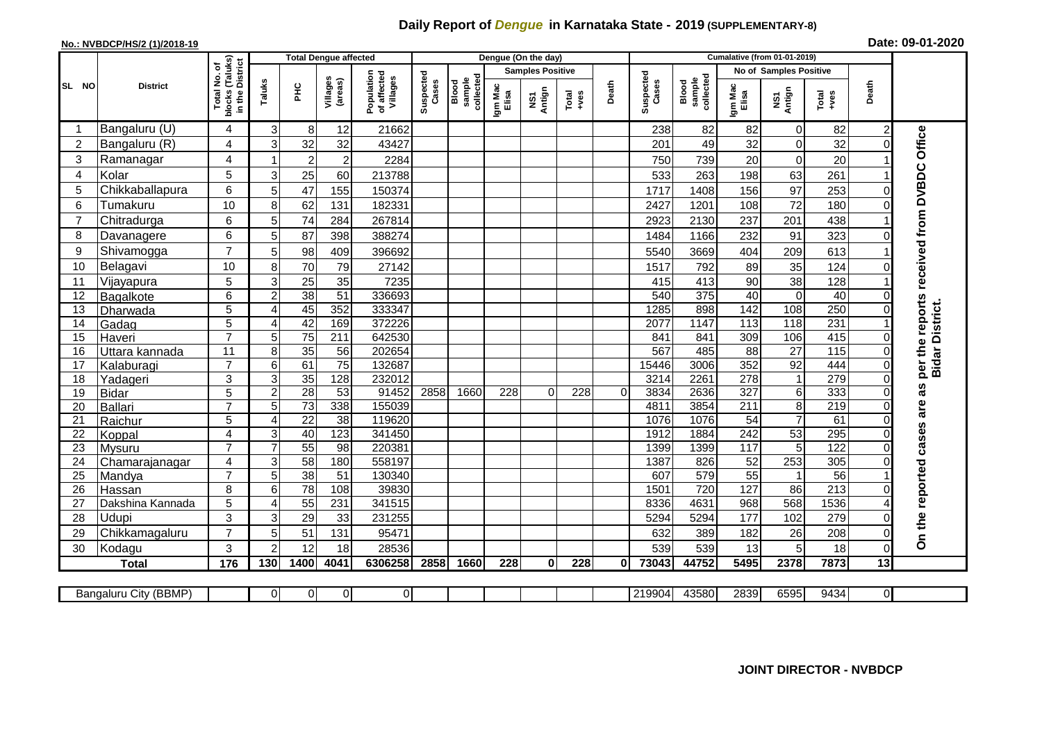## **Daily Report of** *Dengue* **in Karnataka State - 2019 (SUPPLEMENTARY-8)**

## **No.: NVBDCP/HS/2 (1)/2018-19 Date: 09-01-2020**

|                                                                                                                      | <b>District</b>            |                                               |                     |                 | <b>Total Dengue affected</b> |                                       |                    |                              |                         | Dengue (On the day) |               |              |                    |                              |                        |                 |                  |                |                                   |
|----------------------------------------------------------------------------------------------------------------------|----------------------------|-----------------------------------------------|---------------------|-----------------|------------------------------|---------------------------------------|--------------------|------------------------------|-------------------------|---------------------|---------------|--------------|--------------------|------------------------------|------------------------|-----------------|------------------|----------------|-----------------------------------|
|                                                                                                                      |                            | (Taluks)<br>৳                                 |                     |                 |                              | Population<br>of affected<br>Villages | Suspected<br>Cases | collected<br>sample<br>Blood | <b>Samples Positive</b> |                     |               |              |                    |                              | No of Samples Positive |                 |                  |                |                                   |
| SL NO                                                                                                                |                            | in the District<br>Total No.<br><b>blocks</b> | Taluks              | 운               | Villages<br>(areas)          |                                       |                    |                              | Igm Mac<br>Elisa        | Antign<br>Σñ        | Total<br>$-1$ | Death        | Suspected<br>Cases | Blood<br>sample<br>collected | Igm Mac<br>Elisa       | NS1<br>Antign   | Total<br>+ves    | Death          |                                   |
|                                                                                                                      | Bangaluru (U)              | 4                                             | $\overline{3}$      | 8               | 12                           | 21662                                 |                    |                              |                         |                     |               |              | 238                | 82                           | 82                     | $\Omega$        | 82               | $\overline{c}$ |                                   |
| 2                                                                                                                    | Bangaluru (R)              | 4                                             | 3                   | 32              | 32                           | 43427                                 |                    |                              |                         |                     |               |              | 201                | 49                           | 32                     | $\Omega$        | 32               |                | Office                            |
| 3                                                                                                                    | Ramanagar                  | $\overline{\mathbf{4}}$                       |                     | $\overline{2}$  | $\overline{2}$               | 2284                                  |                    |                              |                         |                     |               |              | 750                | 739                          | 20                     | $\Omega$        | $\overline{20}$  |                |                                   |
| $\overline{4}$                                                                                                       | Kolar                      | 5                                             | 3                   | 25              | 60                           | 213788                                |                    |                              |                         |                     |               |              | 533                | 263                          | 198                    | 63              | 261              |                |                                   |
| 5                                                                                                                    | Chikkaballapura            | 6                                             | 5                   | 47              | 155                          | 150374                                |                    |                              |                         |                     |               |              | 1717               | 1408                         | 156                    | 97              | 253              |                |                                   |
| 6                                                                                                                    | Tumakuru                   | 10                                            | 8                   | 62              | 131                          | 182331                                |                    |                              |                         |                     |               |              | 2427               | 1201                         | 108                    | 72              | 180              |                |                                   |
| $\overline{7}$                                                                                                       | Chitradurga                | 6                                             | 5 <sub>l</sub>      | 74              | 284                          | 267814                                |                    |                              |                         |                     |               |              | 2923               | 2130                         | 237                    | 201             | 438              |                |                                   |
| 8                                                                                                                    | Davanagere                 | 6                                             | 5                   | 87              | 398                          | 388274                                |                    |                              |                         |                     |               |              | 1484               | 1166                         | 232                    | 91              | 323              |                |                                   |
| 9                                                                                                                    | Shivamogga                 | $\overline{7}$                                | 5                   | 98              | 409                          | 396692                                |                    |                              |                         |                     |               |              | 5540               | 3669                         | 404                    | 209             | 613              |                | received from DVBDC               |
| 10                                                                                                                   | Belagavi                   | 10                                            | 8                   | 70              | 79                           | 27142                                 |                    |                              |                         |                     |               |              | 1517               | 792                          | 89                     | 35              | 124              |                |                                   |
| 11                                                                                                                   | Vijayapura                 | 5                                             | 3                   | 25              | 35                           | 7235                                  |                    |                              |                         |                     |               |              | 415                | 413                          | 90                     | 38              | 128              |                |                                   |
| 12                                                                                                                   | Bagalkote                  | 6                                             | $\overline{2}$      | 38              | $\overline{51}$              | 336693                                |                    |                              |                         |                     |               |              | 540                | 375                          | 40                     | $\Omega$        | 40               |                |                                   |
| 13                                                                                                                   | Dharwada                   | 5                                             | 4                   | 45              | 352                          | 333347                                |                    |                              |                         |                     |               |              | 1285               | 898                          | $\overline{142}$       | 108             | 250              |                | reports<br><b>Bidar District.</b> |
| 14                                                                                                                   | Gadag                      | 5                                             | 4                   | 42              | 169                          | 372226                                |                    |                              |                         |                     |               |              | 2077               | 1147                         | 113                    | 118             | 231              |                |                                   |
| 15                                                                                                                   | Haveri                     | $\overline{7}$                                | 5                   | 75              | 211                          | 642530                                |                    |                              |                         |                     |               |              | 841                | 841                          | 309                    | 106             | 415              |                |                                   |
| 16                                                                                                                   | Uttara kannada             | 11                                            | 8                   | 35              | 56                           | 202654                                |                    |                              |                         |                     |               |              | 567                | 485                          | $\overline{88}$        | $\overline{27}$ | 115              | 0              | per the                           |
| 17                                                                                                                   | Kalaburagi                 | $\overline{7}$                                | 6                   | 61              | $\overline{75}$              | 132687                                |                    |                              |                         |                     |               |              | 15446              | 3006                         | 352                    | $\overline{92}$ | 444              |                |                                   |
| 18                                                                                                                   | Yadageri                   | 3                                             | 3 <sup>1</sup>      | 35              | 128                          | 232012                                |                    |                              |                         |                     |               |              | 3214               | 2261                         | 278                    | 1               | 279              |                | w                                 |
| 19                                                                                                                   | <b>Bidar</b>               | $\overline{5}$                                | $\overline{2}$      | 28              | 53                           | 91452                                 | 2858               | 1660                         | 228                     | $\overline{0}$      | 228           | $\Omega$     | 3834               | 2636                         | 327                    | 6               | 333              |                | Ш                                 |
| 20                                                                                                                   | Ballari                    | $\overline{7}$                                | 5                   | $\overline{73}$ | 338                          | 155039                                |                    |                              |                         |                     |               |              | 4811               | 3854                         | 211                    | 8               | 219              |                | are                               |
| 21                                                                                                                   | Raichur                    | 5                                             | 4                   | 22              | 38                           | 119620                                |                    |                              |                         |                     |               |              | 1076               | 1076                         | 54                     | $\overline{7}$  | 61               |                |                                   |
| 22                                                                                                                   | Koppal                     | $\overline{\mathbf{4}}$                       | 3                   | 40              | 123                          | 341450                                |                    |                              |                         |                     |               |              | 1912               | 1884                         | 242                    | 53              | 295              |                | cases                             |
| 23                                                                                                                   | <b>Mysuru</b>              | $\overline{7}$                                |                     | 55              | 98                           | 220381                                |                    |                              |                         |                     |               |              | 1399               | 1399                         | 117                    | 5               | 122              |                |                                   |
| 24                                                                                                                   | Chamarajanagar             | 4                                             | 3 <sup>1</sup>      | 58<br>38        | 180<br>$\overline{51}$       | 558197<br>130340                      |                    |                              |                         |                     |               |              | 1387<br>607        | 826<br>579                   | 52<br>55               | 253             | 305<br>56        |                |                                   |
| 25<br>26                                                                                                             | Mandya                     | $\overline{7}$<br>8                           | 5 <sup>1</sup><br>6 | $\overline{78}$ | 108                          | 39830                                 |                    |                              |                         |                     |               |              | 1501               | 720                          | 127                    | 86              | $\overline{213}$ |                |                                   |
| 27                                                                                                                   | Hassan<br>Dakshina Kannada | 5                                             | $\overline{4}$      | 55              | 231                          | 341515                                |                    |                              |                         |                     |               |              | 8336               | 4631                         | 968                    | 568             | 1536             |                |                                   |
| 28                                                                                                                   | Udupi                      | 3                                             | 3                   | 29              | 33                           | 231255                                |                    |                              |                         |                     |               |              | 5294               | 5294                         | 177                    | 102             | 279              |                |                                   |
| 29                                                                                                                   | Chikkamagaluru             | $\overline{7}$                                | 5                   | 51              | 131                          | 95471                                 |                    |                              |                         |                     |               |              | 632                | 389                          | 182                    | 26              | 208              | U              | On the reported                   |
| 30                                                                                                                   | Kodagu                     | 3                                             | $\overline{2}$      | 12              | 18                           | 28536                                 |                    |                              |                         |                     |               |              | 539                | 539                          | 13                     | 5               | 18               | $\Omega$       |                                   |
|                                                                                                                      | <b>Total</b>               | 176                                           | 130                 | 1400            | 4041                         | 6306258                               | 2858               | 1660                         | 228                     | $\bf{0}$            | 228           | $\mathbf{0}$ | 73043              | 44752                        | 5495                   | 2378            | 7873             | 13             |                                   |
|                                                                                                                      |                            |                                               |                     |                 |                              |                                       |                    |                              |                         |                     |               |              |                    |                              |                        |                 |                  |                |                                   |
| $\overline{0}$<br>219904<br>6595<br>9434<br>$\overline{O}$<br>0<br>0<br>43580<br>2839<br>01<br>Bangaluru City (BBMP) |                            |                                               |                     |                 |                              |                                       |                    |                              |                         |                     |               |              |                    |                              |                        |                 |                  |                |                                   |